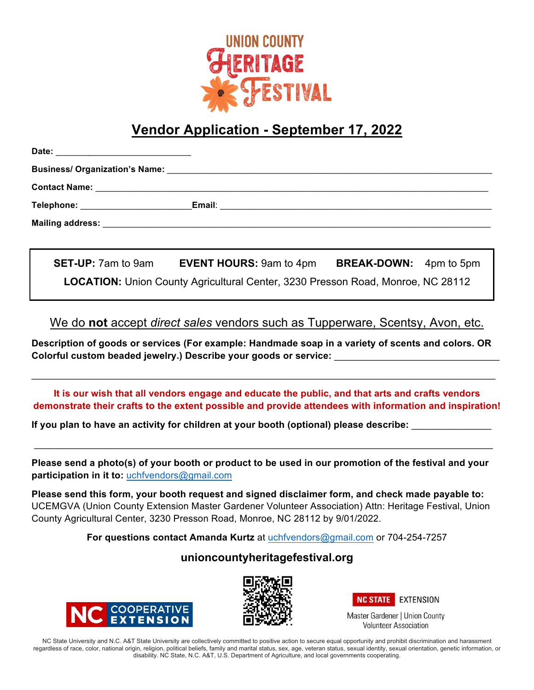

## **Vendor Application - September 17, 2022**

| Telephone: William Changes and Changes and Changes and Changes and Changes and Changes and Changes and Changes |  |  |
|----------------------------------------------------------------------------------------------------------------|--|--|
|                                                                                                                |  |  |
|                                                                                                                |  |  |

**SET-UP:** 7am to 9am **EVENT HOURS:** 9am to 4pm **BREAK-DOWN:** 4pm to 5pm **LOCATION:** Union County Agricultural Center, 3230 Presson Road, Monroe, NC 28112

We do **not** accept *direct sales* vendors such as Tupperware, Scentsy, Avon, etc.

**Description of goods or services (For example: Handmade soap in a variety of scents and colors. OR Colorful custom beaded jewelry.) Describe your goods or service:** \_\_\_\_\_\_\_\_\_\_\_\_\_\_\_\_\_\_\_\_\_\_\_\_\_\_\_\_\_\_\_

\_\_\_\_\_\_\_\_\_\_\_\_\_\_\_\_\_\_\_\_\_\_\_\_\_\_\_\_\_\_\_\_\_\_\_\_\_\_\_\_\_\_\_\_\_\_\_\_\_\_\_\_\_\_\_\_\_\_\_\_\_\_\_\_\_\_\_\_\_\_\_\_\_\_\_\_\_\_\_\_\_\_\_\_\_\_\_

**It is our wish that all vendors engage and educate the public, and that arts and crafts vendors demonstrate their crafts to the extent possible and provide attendees with information and inspiration!**

**If you plan to have an activity for children at your booth (optional) please describe:** \_\_\_\_\_\_\_\_\_\_\_\_\_\_\_

**Please send a photo(s) of your booth or product to be used in our promotion of the festival and your participation in it to:** uchfvendors@gmail.com

 $\_$ 

**Please send this form, your booth request and signed disclaimer form, and check made payable to:** UCEMGVA (Union County Extension Master Gardener Volunteer Association) Attn: Heritage Festival, Union County Agricultural Center, 3230 Presson Road, Monroe, NC 28112 by 9/01/2022.

**For questions contact Amanda Kurtz** at uchfvendors@gmail.com or 704-254-7257

## **unioncountyheritagefestival.org**







**Volunteer Association** 

NC State University and N.C. A&T State University are collectively committed to positive action to secure equal opportunity and prohibit discrimination and harassment regardless of race, color, national origin, religion, political beliefs, family and marital status, sex, age, veteran status, sexual identity, sexual orientation, genetic information, or disability. NC State, N.C. A&T, U.S. Department of Agriculture, and local governments cooperating.